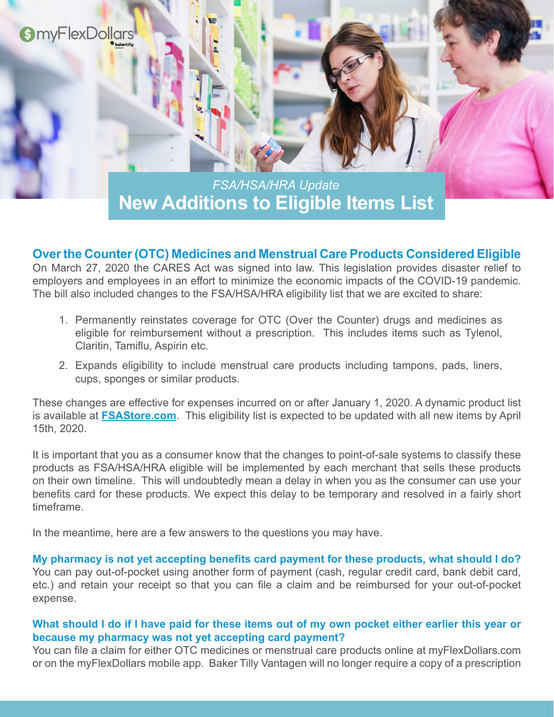

**New Additions to Eligible Items List** *FSA/HSA/HRA Update*

## **Over the Counter (OTC) Medicines and Menstrual Care Products Considered Eligible**

On March 27, 2020 the CARES Act was signed into law. This legislation provides disaster relief to employers and employees in an effort to minimize the economic impacts of the COVID-19 pandemic. The bill also included changes to the FSA/HSA/HRA eligibility list that we are excited to share:

- 1. Permanently reinstates coverage for OTC (Over the Counter) drugs and medicines as eligible for reimbursement without a prescription. This includes items such as Tylenol, Claritin, Tamiflu, Aspirin etc.
- 2. Expands eligibility to include menstrual care products including tampons, pads, liners, cups, sponges or similar products.

These changes are effective for expenses incurred on or after January 1, 2020. A dynamic product list is available at **[FSAStore.com](https://fsastore.com/FSA-Eligibility-List.aspx?utm_source=Baker+Tilly-Vantagen&utm_medium=TPA+Wex+Banner+Welcome+Elig&utm_campaign=TPA+Partner&a_aid=5463c384d2954  )**. This eligibility list is expected to be updated with all new items by April 15th, 2020.

It is important that you as a consumer know that the changes to point-of-sale systems to classify these products as FSA/HSA/HRA eligible will be implemented by each merchant that sells these products on their own timeline. This will undoubtedly mean a delay in when you as the consumer can use your benefits card for these products. We expect this delay to be temporary and resolved in a fairly short timeframe.

In the meantime, here are a few answers to the questions you may have.

**My pharmacy is not yet accepting benefits card payment for these products, what should I do?** You can pay out-of-pocket using another form of payment (cash, regular credit card, bank debit card, etc.) and retain your receipt so that you can file a claim and be reimbursed for your out-of-pocket expense.

## **What should I do if I have paid for these items out of my own pocket either earlier this year or because my pharmacy was not yet accepting card payment?**

You can file a claim for either OTC medicines or menstrual care products online at myFlexDollars.com or on the myFlexDollars mobile app. Baker Tilly Vantagen will no longer require a copy of a prescription